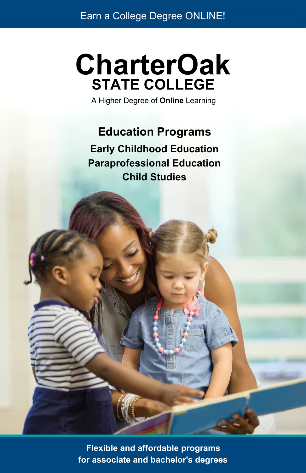# **CharterOak STATE COLLEGE**

A Higher Degree of **Online** Learning

## **Education Programs**

**Early Childhood Education Paraprofessional Education Child Studies**

**Flexible and affordable programs for associate and bachelor's degrees**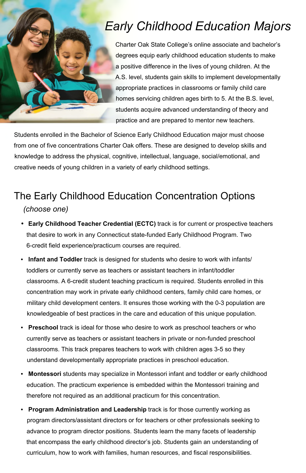## *Early Childhood Education Majors*

Charter Oak State College's online associate and bachelor's degrees equip early childhood education students to make a positive difference in the lives of young children. At the A.S. level, students gain skills to implement developmentally appropriate practices in classrooms or family child care homes servicing children ages birth to 5. At the B.S. level, students acquire advanced understanding of theory and practice and are prepared to mentor new teachers.

Students enrolled in the Bachelor of Science Early Childhood Education major must choose from one of five concentrations Charter Oak offers. These are designed to develop skills and knowledge to address the physical, cognitive, intellectual, language, social/emotional, and creative needs of young children in a variety of early childhood settings.

## The Early Childhood Education Concentration Options

*(choose one)*

- *•* **Early Childhood Teacher Credential (ECTC)** track is for current or prospective teachers that desire to work in any Connecticut state-funded Early Childhood Program. Two 6-credit field experience/practicum courses are required.
- **• Infant and Toddler** track is designed for students who desire to work with infants/ toddlers or currently serve as teachers or assistant teachers in infant/toddler classrooms. A 6-credit student teaching practicum is required. Students enrolled in this concentration may work in private early childhood centers, family child care homes, or military child development centers. It ensures those working with the 0-3 population are knowledgeable of best practices in the care and education of this unique population.
- **• Preschool** track is ideal for those who desire to work as preschool teachers or who currently serve as teachers or assistant teachers in private or non-funded preschool classrooms. This track prepares teachers to work with children ages 3-5 so they understand developmentally appropriate practices in preschool education.
- **• Montessori** students may specialize in Montessori infant and toddler or early childhood education. The practicum experience is embedded within the Montessori training and therefore not required as an additional practicum for this concentration.
- **• Program Administration and Leadership** track is for those currently working as program directors/assistant directors or for teachers or other professionals seeking to advance to program director positions. Students learn the many facets of leadership that encompass the early childhood director's job. Students gain an understanding of curriculum, how to work with families, human resources, and fiscal responsibilities.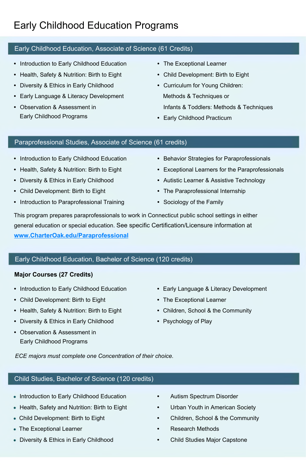## Early Childhood Education Programs

#### Early Childhood Education, Associate of Science (61 Credits)

- **•** Introduction to Early Childhood Education
- **•** Health, Safety & Nutrition: Birth to Eight
- **•** Diversity & Ethics in Early Childhood
- **•** Early Language & Literacy Development
- **•** Observation & Assessment in Early Childhood Programs
- **•** The Exceptional Learner
- **•** Child Development: Birth to Eight
- **•** Curriculum for Young Children: Methods & Techniques or Infants & Toddlers: Methods & Techniques
- **•** Early Childhood Practicum

#### Paraprofessional Studies, Associate of Science (61 credits)

- **•** Introduction to Early Childhood Education
- **•** Health, Safety & Nutrition: Birth to Eight
- **•** Diversity & Ethics in Early Childhood
- **•** Child Development: Birth to Eight
- **•** Introduction to Paraprofessional Training
- **•** Behavior Strategies for Paraprofessionals
- **•** Exceptional Learners for the Paraprofessionals
- **•** Autistic Learner & Assistive Technology
- **•** The Paraprofessional Internship
- **•** Sociology of the Family

This program prepares paraprofessionals to work in Connecticut public school settings in either general education or special education. See specific Certification/Licensure information at **[www.CharterOak.edu/Paraprofessional](http://www.CharterOak.edu/Paraprofessional)**

#### Early Childhood Education, Bachelor of Science (120 credits)

#### **Major Courses (27 Credits)**

- **•** Introduction to Early Childhood Education
- **•** Child Development: Birth to Eight
- **•** Health, Safety & Nutrition: Birth to Eight
- **•** Diversity & Ethics in Early Childhood
- **•** Observation & Assessment in Early Childhood Programs
- **•** Early Language & Literacy Development
- **•** The Exceptional Learner
- **•** Children, School & the Community
- **•** Psychology of Play

*ECE majors must complete one Concentration of their choice.*

#### Child Studies, Bachelor of Science (120 credits)

- Introduction to Early Childhood Education
- Health, Safety and Nutrition: Birth to Eight
- Child Development: Birth to Eight
- The Exceptional Learner
- Diversity & Ethics in Early Childhood
- **•** Autism Spectrum Disorder
- **•** Urban Youth in American Society
- **•** Children, School & the Community
- **•** Research Methods
- **•** Child Studies Major Capstone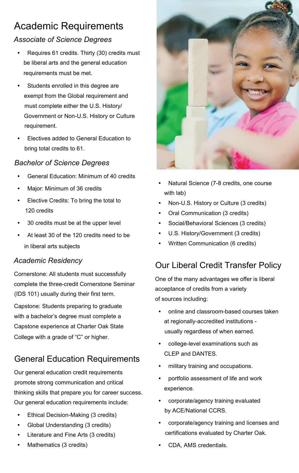## Academic Requirements

#### *Associate of Science Degrees*

- **•** Requires 61 credits. Thirty (30) credits must be liberal arts and the general education requirements must be met.
- **•** Students enrolled in this degree are exempt from the Global requirement and must complete either the U.S. History/ Government or Non-U.S. History or Culture requirement.
- **•** Electives added to General Education to bring total credits to 61.

#### *Bachelor of Science Degrees*

- **•** General Education: Minimum of 40 credits
- **•** Major: Minimum of 36 credits
- **•** Elective Credits: To bring the total to 120 credits
- **•** 30 credits must be at the upper level
- **•** At least 30 of the 120 credits need to be in liberal arts subjects

#### *Academic Residency*

Cornerstone: All students must successfully complete the three-credit Cornerstone Seminar (IDS 101) usually during their first term.

Capstone: Students preparing to graduate with a bachelor's degree must complete a Capstone experience at Charter Oak State College with a grade of "C" or higher.

### General Education Requirements

Our general education credit requirements promote strong communication and critical thinking skills that prepare you for career success. Our general education requirements include:

- **•** Ethical Decision-Making (3 credits)
- **•** Global Understanding (3 credits)
- **•** Literature and Fine Arts (3 credits)
- **•** Mathematics (3 credits)



- **•** Natural Science (7-8 credits, one course with lab)
- **•** Non-U.S. History or Culture (3 credits)
- **•** Oral Communication (3 credits)
- **•** Social/Behavioral Sciences (3 credits)
- **•** U.S. History/Government (3 credits)
- **•** Written Communication (6 credits)

### Our Liberal Credit Transfer Policy

One of the many advantages we offer is liberal acceptance of credits from a variety of sources including:

- **•** online and classroom-based courses taken at regionally-accredited institutions usually regardless of when earned.
- **•** college-level examinations such as CLEP and DANTES.
- **•** military training and occupations.
- **•** portfolio assessment of life and work experience.
- **•** corporate/agency training evaluated by ACE/National CCRS.
- **•** corporate/agency training and licenses and certifications evaluated by Charter Oak.
- **•** CDA, AMS credentials.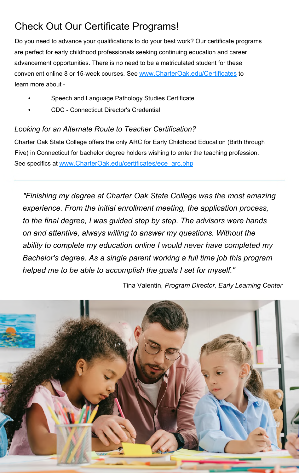## Check Out Our Certificate Programs!

Do you need to advance your qualifications to do your best work? Our certificate programs are perfect for early childhood professionals seeking continuing education and career advancement opportunities. There is no need to be a matriculated student for these convenient online 8 or 15-week courses. See [www.CharterOak.edu/Certificates](http://www.CharterOak.edu/Certificates) to learn more about -

- **•** Speech and Language Pathology Studies Certificate
- **•** CDC Connecticut Director's Credential

#### *Looking for an Alternate Route to Teacher Certification?*

Charter Oak State College offers the only ARC for Early Childhood Education (Birth through Five) in Connecticut for bachelor degree holders wishing to enter the teaching profession. See specifics at [www.CharterOak.edu/certificates/ece\\_arc.php](http://www.CharterOak.edu/certificates/ece_arc.php)

*"Finishing my degree at Charter Oak State College was the most amazing experience. From the initial enrollment meeting, the application process, to the final degree, I was guided step by step. The advisors were hands on and attentive, always willing to answer my questions. Without the ability to complete my education online I would never have completed my Bachelor's degree. As a single parent working a full time job this program helped me to be able to accomplish the goals I set for myself."*

Tina Valentin, *Program Director, Early Learning Center*